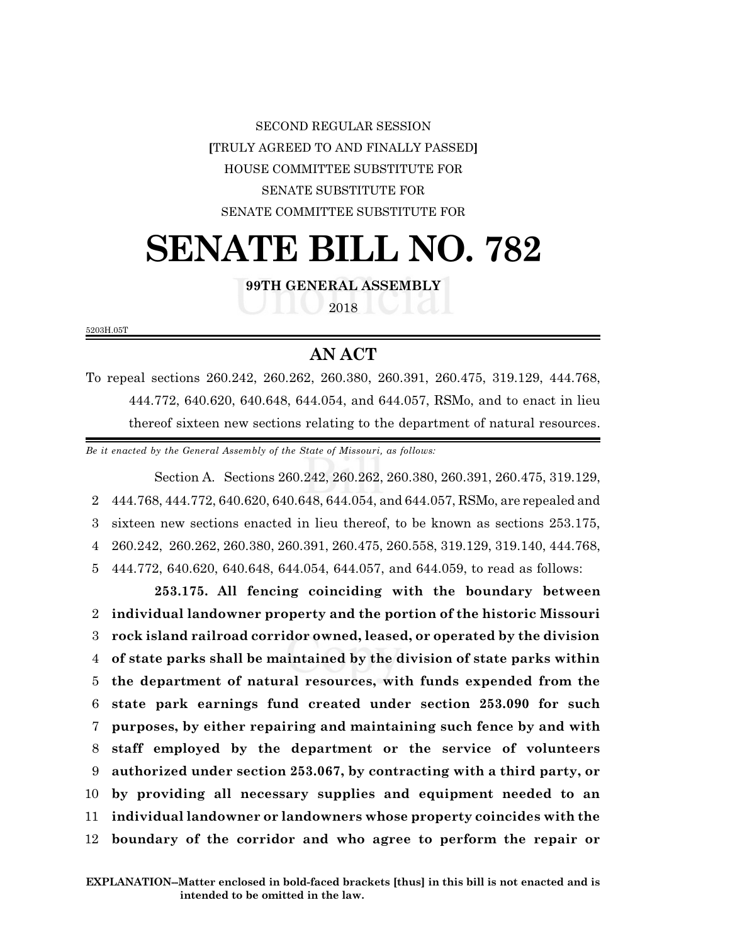SECOND REGULAR SESSION **[**TRULY AGREED TO AND FINALLY PASSED**]** HOUSE COMMITTEE SUBSTITUTE FOR SENATE SUBSTITUTE FOR SENATE COMMITTEE SUBSTITUTE FOR

## **SENATE BILL NO. 782**

**99TH GENERAL ASSEMBLY**

2018

5203H.05T

## **AN ACT**

To repeal sections 260.242, 260.262, 260.380, 260.391, 260.475, 319.129, 444.768, 444.772, 640.620, 640.648, 644.054, and 644.057, RSMo, and to enact in lieu thereof sixteen new sections relating to the department of natural resources.

*Be it enacted by the General Assembly of the State of Missouri, as follows:*

Section A. Sections 260.242, 260.262, 260.380, 260.391, 260.475, 319.129, 444.768, 444.772, 640.620, 640.648, 644.054, and 644.057, RSMo, are repealed and sixteen new sections enacted in lieu thereof, to be known as sections 253.175, 260.242, 260.262, 260.380, 260.391, 260.475, 260.558, 319.129, 319.140, 444.768, 444.772, 640.620, 640.648, 644.054, 644.057, and 644.059, to read as follows:

**253.175. All fencing coinciding with the boundary between individual landowner property and the portion of the historic Missouri rock island railroad corridor owned, leased, or operated by the division of state parks shall be maintained by the division of state parks within the department of natural resources, with funds expended from the state park earnings fund created under section 253.090 for such purposes, by either repairing and maintaining such fence by and with staff employed by the department or the service of volunteers authorized under section 253.067, by contracting with a third party, or by providing all necessary supplies and equipment needed to an individual landowner or landowners whose property coincides with the boundary of the corridor and who agree to perform the repair or**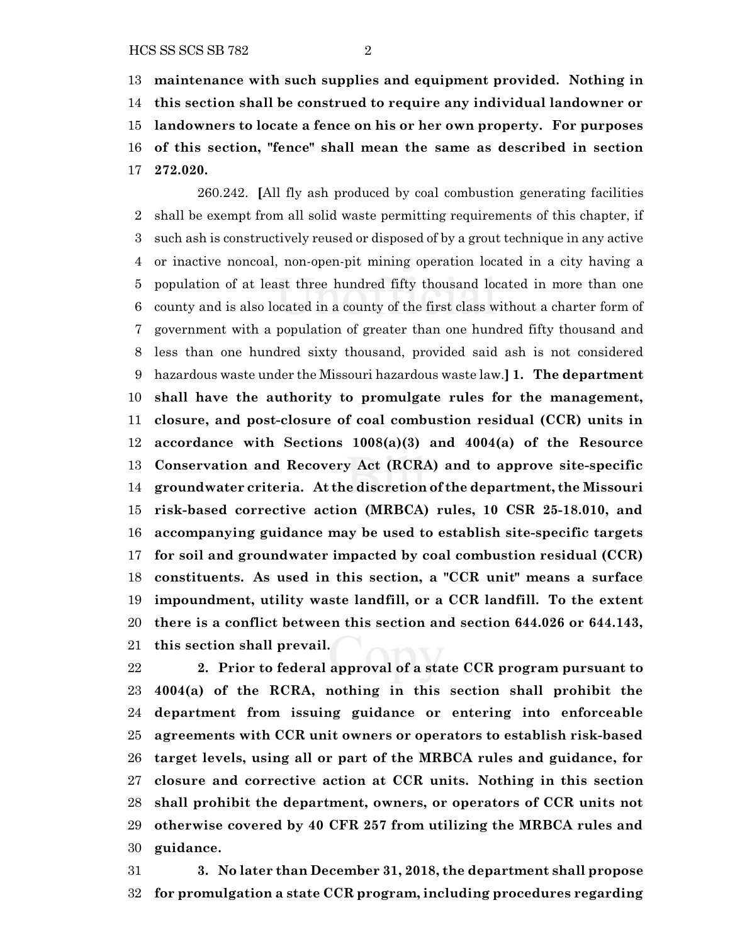**maintenance with such supplies and equipment provided. Nothing in this section shall be construed to require any individual landowner or landowners to locate a fence on his or her own property. For purposes of this section, "fence" shall mean the same as described in section 272.020.**

260.242. **[**All fly ash produced by coal combustion generating facilities shall be exempt from all solid waste permitting requirements of this chapter, if such ash is constructively reused or disposed of by a grout technique in any active or inactive noncoal, non-open-pit mining operation located in a city having a population of at least three hundred fifty thousand located in more than one county and is also located in a county of the first class without a charter form of government with a population of greater than one hundred fifty thousand and less than one hundred sixty thousand, provided said ash is not considered hazardous waste under the Missouri hazardous waste law.**] 1. The department shall have the authority to promulgate rules for the management, closure, and post-closure of coal combustion residual (CCR) units in accordance with Sections 1008(a)(3) and 4004(a) of the Resource Conservation and Recovery Act (RCRA) and to approve site-specific groundwater criteria. At the discretion of the department, the Missouri risk-based corrective action (MRBCA) rules, 10 CSR 25-18.010, and accompanying guidance may be used to establish site-specific targets for soil and groundwater impacted by coal combustion residual (CCR) constituents. As used in this section, a "CCR unit" means a surface impoundment, utility waste landfill, or a CCR landfill. To the extent there is a conflict between this section and section 644.026 or 644.143, this section shall prevail.**

 **2. Prior to federal approval of a state CCR program pursuant to 4004(a) of the RCRA, nothing in this section shall prohibit the department from issuing guidance or entering into enforceable agreements with CCR unit owners or operators to establish risk-based target levels, using all or part of the MRBCA rules and guidance, for closure and corrective action at CCR units. Nothing in this section shall prohibit the department, owners, or operators of CCR units not otherwise covered by 40 CFR 257 from utilizing the MRBCA rules and guidance.**

 **3. No later than December 31, 2018, the department shall propose for promulgation a state CCR program, including procedures regarding**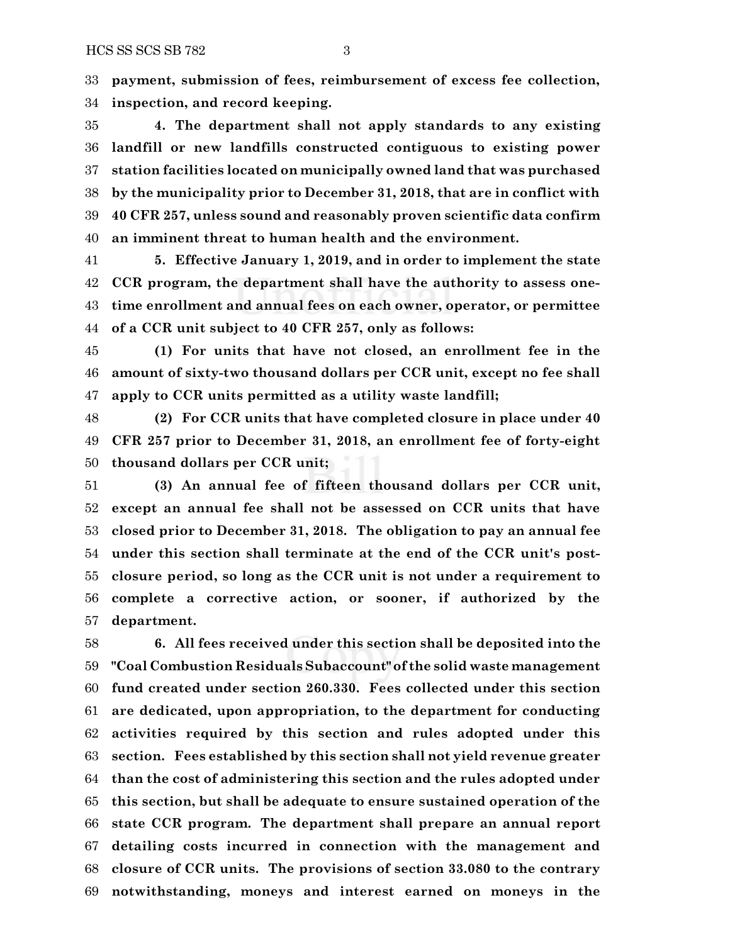**payment, submission of fees, reimbursement of excess fee collection, inspection, and record keeping.**

 **4. The department shall not apply standards to any existing landfill or new landfills constructed contiguous to existing power station facilities located on municipally owned land that was purchased by the municipality prior to December 31, 2018, that are in conflict with 40 CFR 257, unless sound and reasonably proven scientific data confirm an imminent threat to human health and the environment.**

 **5. Effective January 1, 2019, and in order to implement the state CCR program, the department shall have the authority to assess one- time enrollment and annual fees on each owner, operator, or permittee of a CCR unit subject to 40 CFR 257, only as follows:**

 **(1) For units that have not closed, an enrollment fee in the amount of sixty-two thousand dollars per CCR unit, except no fee shall apply to CCR units permitted as a utility waste landfill;**

 **(2) For CCR units that have completed closure in place under 40 CFR 257 prior to December 31, 2018, an enrollment fee of forty-eight thousand dollars per CCR unit;**

 **(3) An annual fee of fifteen thousand dollars per CCR unit, except an annual fee shall not be assessed on CCR units that have closed prior to December 31, 2018. The obligation to pay an annual fee under this section shall terminate at the end of the CCR unit's post- closure period, so long as the CCR unit is not under a requirement to complete a corrective action, or sooner, if authorized by the department.**

 **6. All fees received under this section shall be deposited into the "Coal Combustion Residuals Subaccount" of the solid waste management fund created under section 260.330. Fees collected under this section are dedicated, upon appropriation, to the department for conducting activities required by this section and rules adopted under this section. Fees established by this section shall not yield revenue greater than the cost of administering this section and the rules adopted under this section, but shall be adequate to ensure sustained operation of the state CCR program. The department shall prepare an annual report detailing costs incurred in connection with the management and closure of CCR units. The provisions of section 33.080 to the contrary notwithstanding, moneys and interest earned on moneys in the**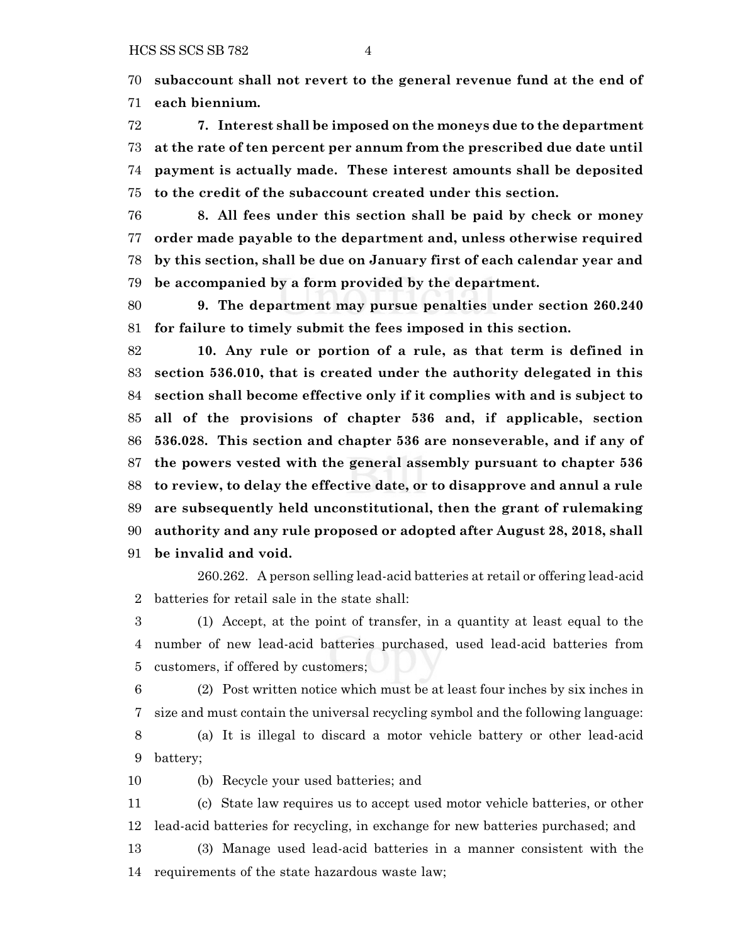**subaccount shall not revert to the general revenue fund at the end of each biennium.**

 **7. Interest shall be imposed on the moneys due to the department at the rate of ten percent per annum from the prescribed due date until payment is actually made. These interest amounts shall be deposited to the credit of the subaccount created under this section.**

 **8. All fees under this section shall be paid by check or money order made payable to the department and, unless otherwise required by this section, shall be due on January first of each calendar year and be accompanied by a form provided by the department.**

 **9. The department may pursue penalties under section 260.240 for failure to timely submit the fees imposed in this section.**

 **10. Any rule or portion of a rule, as that term is defined in section 536.010, that is created under the authority delegated in this section shall become effective only if it complies with and is subject to all of the provisions of chapter 536 and, if applicable, section 536.028. This section and chapter 536 are nonseverable, and if any of the powers vested with the general assembly pursuant to chapter 536 to review, to delay the effective date, or to disapprove and annul a rule are subsequently held unconstitutional, then the grant of rulemaking authority and any rule proposed or adopted after August 28, 2018, shall be invalid and void.**

260.262. A person selling lead-acid batteries at retail or offering lead-acid batteries for retail sale in the state shall:

 (1) Accept, at the point of transfer, in a quantity at least equal to the number of new lead-acid batteries purchased, used lead-acid batteries from customers, if offered by customers;

 (2) Post written notice which must be at least four inches by six inches in size and must contain the universal recycling symbol and the following language:

 (a) It is illegal to discard a motor vehicle battery or other lead-acid battery;

(b) Recycle your used batteries; and

 (c) State law requires us to accept used motor vehicle batteries, or other lead-acid batteries for recycling, in exchange for new batteries purchased; and

 (3) Manage used lead-acid batteries in a manner consistent with the requirements of the state hazardous waste law;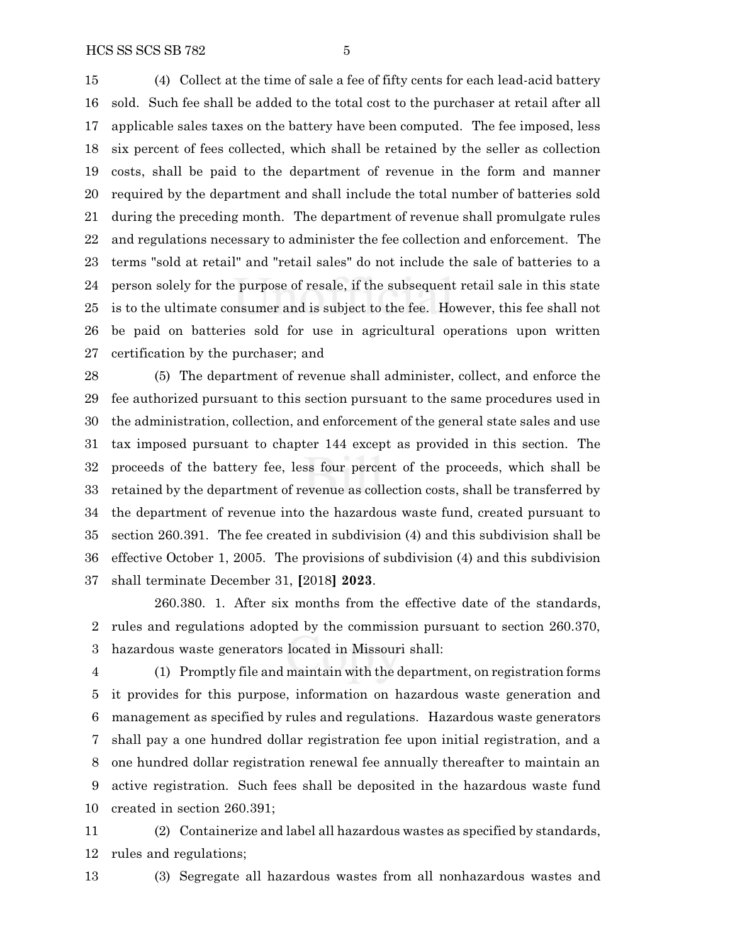(4) Collect at the time of sale a fee of fifty cents for each lead-acid battery sold. Such fee shall be added to the total cost to the purchaser at retail after all applicable sales taxes on the battery have been computed. The fee imposed, less six percent of fees collected, which shall be retained by the seller as collection costs, shall be paid to the department of revenue in the form and manner required by the department and shall include the total number of batteries sold during the preceding month. The department of revenue shall promulgate rules and regulations necessary to administer the fee collection and enforcement. The terms "sold at retail" and "retail sales" do not include the sale of batteries to a person solely for the purpose of resale, if the subsequent retail sale in this state is to the ultimate consumer and is subject to the fee. However, this fee shall not be paid on batteries sold for use in agricultural operations upon written certification by the purchaser; and

 (5) The department of revenue shall administer, collect, and enforce the fee authorized pursuant to this section pursuant to the same procedures used in the administration, collection, and enforcement of the general state sales and use tax imposed pursuant to chapter 144 except as provided in this section. The proceeds of the battery fee, less four percent of the proceeds, which shall be retained by the department of revenue as collection costs, shall be transferred by the department of revenue into the hazardous waste fund, created pursuant to section 260.391. The fee created in subdivision (4) and this subdivision shall be effective October 1, 2005. The provisions of subdivision (4) and this subdivision shall terminate December 31, **[**2018**] 2023**.

260.380. 1. After six months from the effective date of the standards, rules and regulations adopted by the commission pursuant to section 260.370, hazardous waste generators located in Missouri shall:

 (1) Promptly file and maintain with the department, on registration forms it provides for this purpose, information on hazardous waste generation and management as specified by rules and regulations. Hazardous waste generators shall pay a one hundred dollar registration fee upon initial registration, and a one hundred dollar registration renewal fee annually thereafter to maintain an active registration. Such fees shall be deposited in the hazardous waste fund created in section 260.391;

 (2) Containerize and label all hazardous wastes as specified by standards, rules and regulations;

(3) Segregate all hazardous wastes from all nonhazardous wastes and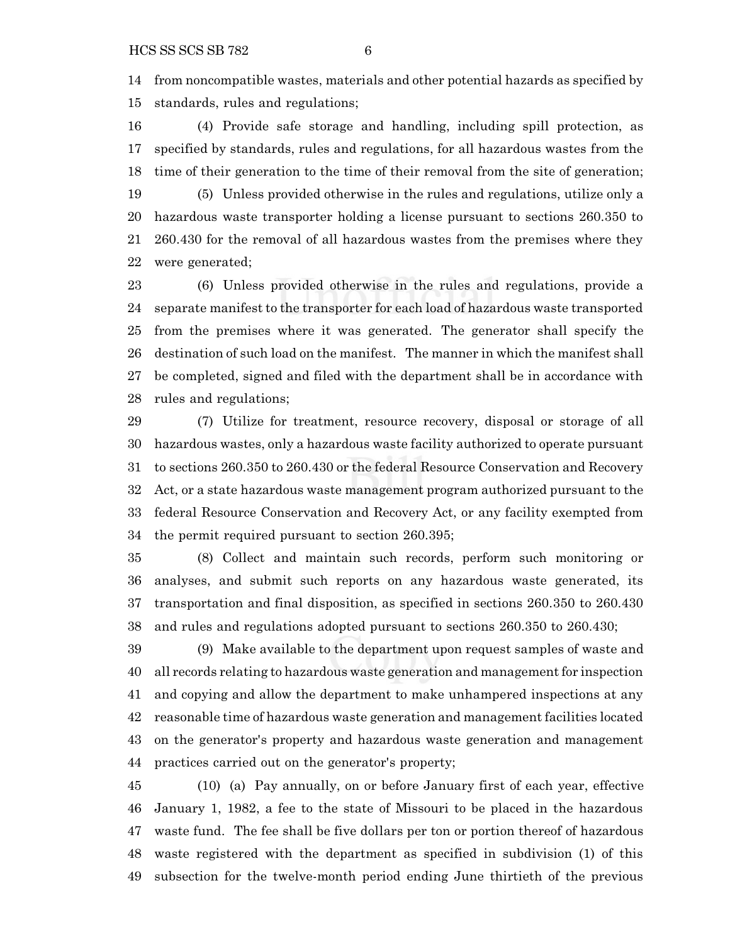from noncompatible wastes, materials and other potential hazards as specified by standards, rules and regulations;

 (4) Provide safe storage and handling, including spill protection, as specified by standards, rules and regulations, for all hazardous wastes from the time of their generation to the time of their removal from the site of generation; (5) Unless provided otherwise in the rules and regulations, utilize only a hazardous waste transporter holding a license pursuant to sections 260.350 to 260.430 for the removal of all hazardous wastes from the premises where they were generated;

 (6) Unless provided otherwise in the rules and regulations, provide a separate manifest to the transporter for each load of hazardous waste transported from the premises where it was generated. The generator shall specify the destination of such load on the manifest. The manner in which the manifest shall be completed, signed and filed with the department shall be in accordance with rules and regulations;

 (7) Utilize for treatment, resource recovery, disposal or storage of all hazardous wastes, only a hazardous waste facility authorized to operate pursuant to sections 260.350 to 260.430 or the federal Resource Conservation and Recovery Act, or a state hazardous waste management program authorized pursuant to the federal Resource Conservation and Recovery Act, or any facility exempted from the permit required pursuant to section 260.395;

 (8) Collect and maintain such records, perform such monitoring or analyses, and submit such reports on any hazardous waste generated, its transportation and final disposition, as specified in sections 260.350 to 260.430 and rules and regulations adopted pursuant to sections 260.350 to 260.430;

 (9) Make available to the department upon request samples of waste and all records relating to hazardous waste generation and management for inspection and copying and allow the department to make unhampered inspections at any reasonable time of hazardous waste generation and management facilities located on the generator's property and hazardous waste generation and management practices carried out on the generator's property;

 (10) (a) Pay annually, on or before January first of each year, effective January 1, 1982, a fee to the state of Missouri to be placed in the hazardous waste fund. The fee shall be five dollars per ton or portion thereof of hazardous waste registered with the department as specified in subdivision (1) of this subsection for the twelve-month period ending June thirtieth of the previous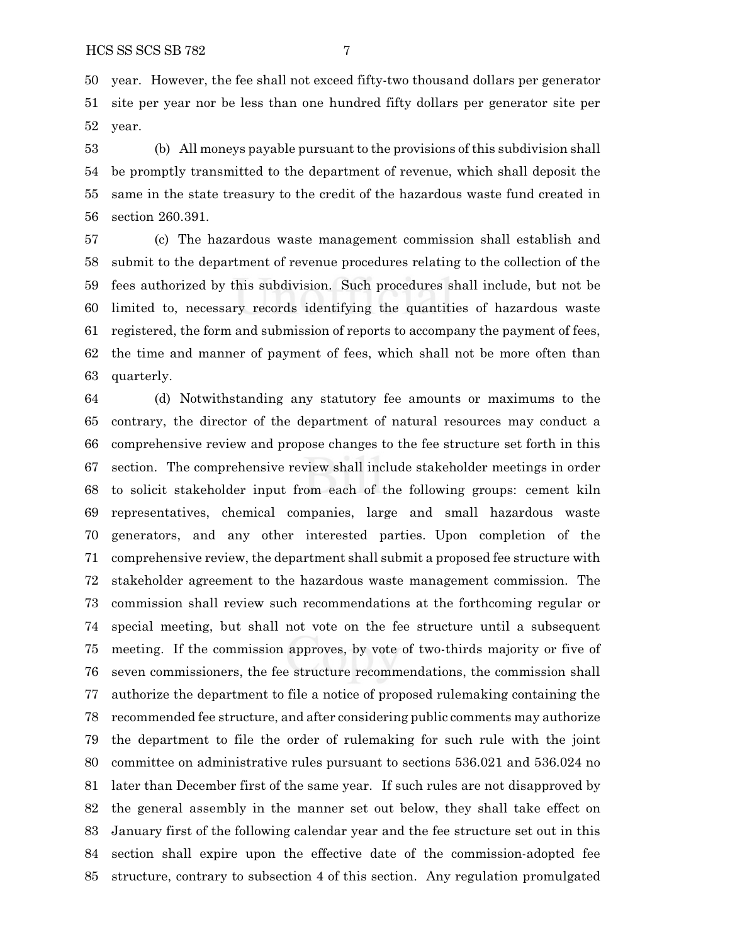year. However, the fee shall not exceed fifty-two thousand dollars per generator site per year nor be less than one hundred fifty dollars per generator site per year.

 (b) All moneys payable pursuant to the provisions of this subdivision shall be promptly transmitted to the department of revenue, which shall deposit the same in the state treasury to the credit of the hazardous waste fund created in section 260.391.

 (c) The hazardous waste management commission shall establish and submit to the department of revenue procedures relating to the collection of the fees authorized by this subdivision. Such procedures shall include, but not be limited to, necessary records identifying the quantities of hazardous waste registered, the form and submission of reports to accompany the payment of fees, the time and manner of payment of fees, which shall not be more often than quarterly.

 (d) Notwithstanding any statutory fee amounts or maximums to the contrary, the director of the department of natural resources may conduct a comprehensive review and propose changes to the fee structure set forth in this section. The comprehensive review shall include stakeholder meetings in order to solicit stakeholder input from each of the following groups: cement kiln representatives, chemical companies, large and small hazardous waste generators, and any other interested parties. Upon completion of the comprehensive review, the department shall submit a proposed fee structure with stakeholder agreement to the hazardous waste management commission. The commission shall review such recommendations at the forthcoming regular or special meeting, but shall not vote on the fee structure until a subsequent meeting. If the commission approves, by vote of two-thirds majority or five of seven commissioners, the fee structure recommendations, the commission shall authorize the department to file a notice of proposed rulemaking containing the recommended fee structure, and after considering public comments may authorize the department to file the order of rulemaking for such rule with the joint committee on administrative rules pursuant to sections 536.021 and 536.024 no later than December first of the same year. If such rules are not disapproved by the general assembly in the manner set out below, they shall take effect on January first of the following calendar year and the fee structure set out in this section shall expire upon the effective date of the commission-adopted fee structure, contrary to subsection 4 of this section. Any regulation promulgated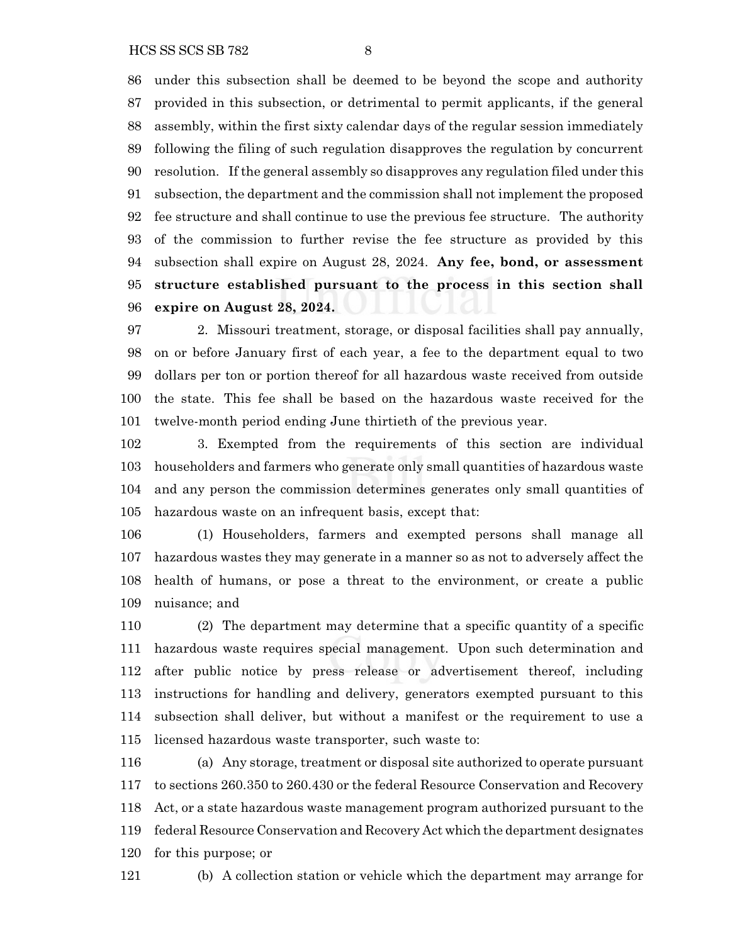under this subsection shall be deemed to be beyond the scope and authority provided in this subsection, or detrimental to permit applicants, if the general assembly, within the first sixty calendar days of the regular session immediately following the filing of such regulation disapproves the regulation by concurrent resolution. If the general assembly so disapproves any regulation filed under this subsection, the department and the commission shall not implement the proposed fee structure and shall continue to use the previous fee structure. The authority of the commission to further revise the fee structure as provided by this subsection shall expire on August 28, 2024. **Any fee, bond, or assessment structure established pursuant to the process in this section shall expire on August 28, 2024.**

 2. Missouri treatment, storage, or disposal facilities shall pay annually, on or before January first of each year, a fee to the department equal to two dollars per ton or portion thereof for all hazardous waste received from outside the state. This fee shall be based on the hazardous waste received for the twelve-month period ending June thirtieth of the previous year.

 3. Exempted from the requirements of this section are individual householders and farmers who generate only small quantities of hazardous waste and any person the commission determines generates only small quantities of hazardous waste on an infrequent basis, except that:

 (1) Householders, farmers and exempted persons shall manage all hazardous wastes they may generate in a manner so as not to adversely affect the health of humans, or pose a threat to the environment, or create a public nuisance; and

 (2) The department may determine that a specific quantity of a specific hazardous waste requires special management. Upon such determination and after public notice by press release or advertisement thereof, including instructions for handling and delivery, generators exempted pursuant to this subsection shall deliver, but without a manifest or the requirement to use a licensed hazardous waste transporter, such waste to:

 (a) Any storage, treatment or disposal site authorized to operate pursuant to sections 260.350 to 260.430 or the federal Resource Conservation and Recovery Act, or a state hazardous waste management program authorized pursuant to the federal Resource Conservation and Recovery Act which the department designates for this purpose; or

(b) A collection station or vehicle which the department may arrange for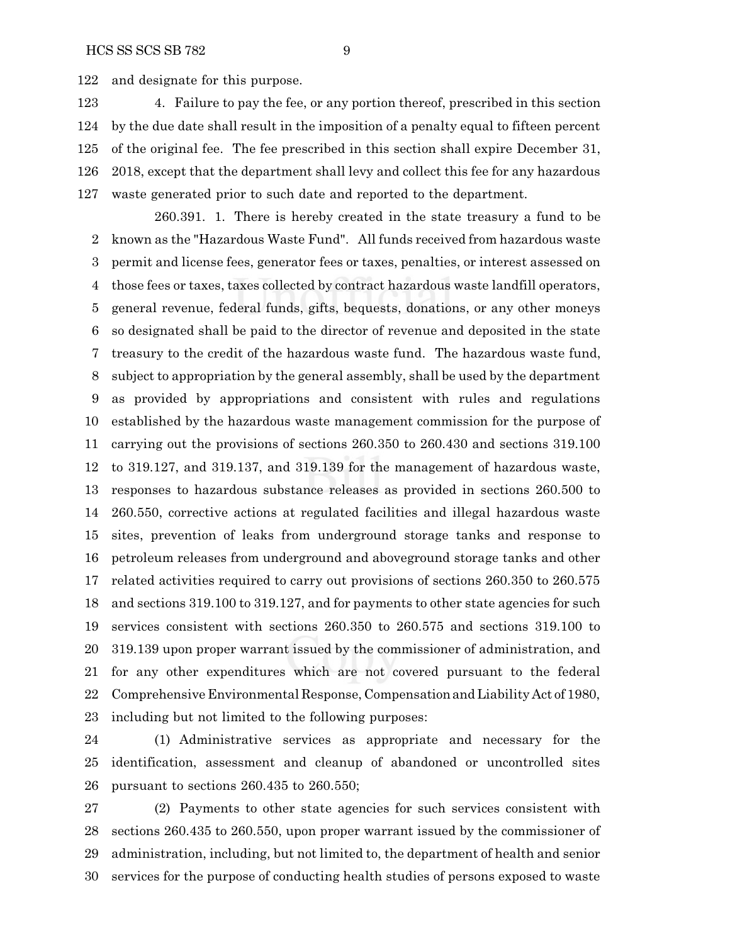and designate for this purpose.

 4. Failure to pay the fee, or any portion thereof, prescribed in this section by the due date shall result in the imposition of a penalty equal to fifteen percent of the original fee. The fee prescribed in this section shall expire December 31, 2018, except that the department shall levy and collect this fee for any hazardous waste generated prior to such date and reported to the department.

260.391. 1. There is hereby created in the state treasury a fund to be known as the "Hazardous Waste Fund". All funds received from hazardous waste permit and license fees, generator fees or taxes, penalties, or interest assessed on those fees or taxes, taxes collected by contract hazardous waste landfill operators, general revenue, federal funds, gifts, bequests, donations, or any other moneys so designated shall be paid to the director of revenue and deposited in the state treasury to the credit of the hazardous waste fund. The hazardous waste fund, subject to appropriation by the general assembly, shall be used by the department as provided by appropriations and consistent with rules and regulations established by the hazardous waste management commission for the purpose of carrying out the provisions of sections 260.350 to 260.430 and sections 319.100 to 319.127, and 319.137, and 319.139 for the management of hazardous waste, responses to hazardous substance releases as provided in sections 260.500 to 260.550, corrective actions at regulated facilities and illegal hazardous waste sites, prevention of leaks from underground storage tanks and response to petroleum releases from underground and aboveground storage tanks and other related activities required to carry out provisions of sections 260.350 to 260.575 and sections 319.100 to 319.127, and for payments to other state agencies for such services consistent with sections 260.350 to 260.575 and sections 319.100 to 319.139 upon proper warrant issued by the commissioner of administration, and for any other expenditures which are not covered pursuant to the federal Comprehensive Environmental Response, CompensationandLiability Act of 1980, including but not limited to the following purposes:

 (1) Administrative services as appropriate and necessary for the identification, assessment and cleanup of abandoned or uncontrolled sites pursuant to sections 260.435 to 260.550;

 (2) Payments to other state agencies for such services consistent with sections 260.435 to 260.550, upon proper warrant issued by the commissioner of administration, including, but not limited to, the department of health and senior services for the purpose of conducting health studies of persons exposed to waste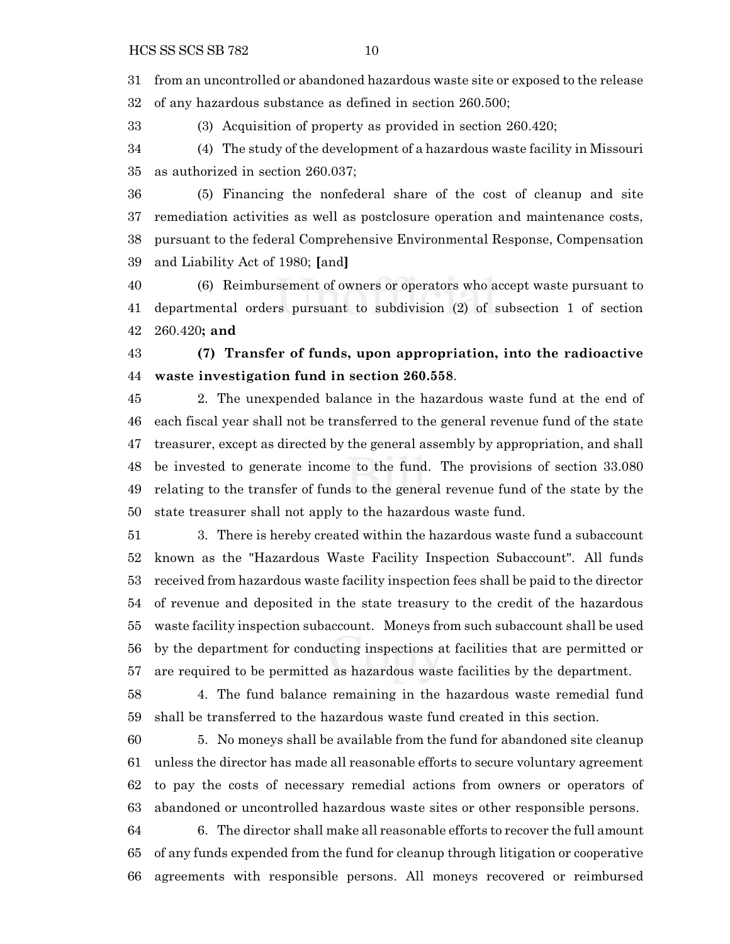from an uncontrolled or abandoned hazardous waste site or exposed to the release of any hazardous substance as defined in section 260.500;

(3) Acquisition of property as provided in section 260.420;

 (4) The study of the development of a hazardous waste facility in Missouri as authorized in section 260.037;

 (5) Financing the nonfederal share of the cost of cleanup and site remediation activities as well as postclosure operation and maintenance costs, pursuant to the federal Comprehensive Environmental Response, Compensation and Liability Act of 1980; **[**and**]**

 (6) Reimbursement of owners or operators who accept waste pursuant to departmental orders pursuant to subdivision (2) of subsection 1 of section 260.420**; and**

 **(7) Transfer of funds, upon appropriation, into the radioactive waste investigation fund in section 260.558**.

 2. The unexpended balance in the hazardous waste fund at the end of each fiscal year shall not be transferred to the general revenue fund of the state treasurer, except as directed by the general assembly by appropriation, and shall be invested to generate income to the fund. The provisions of section 33.080 relating to the transfer of funds to the general revenue fund of the state by the state treasurer shall not apply to the hazardous waste fund.

 3. There is hereby created within the hazardous waste fund a subaccount known as the "Hazardous Waste Facility Inspection Subaccount". All funds received from hazardous waste facility inspection fees shall be paid to the director of revenue and deposited in the state treasury to the credit of the hazardous waste facility inspection subaccount. Moneys from such subaccount shall be used by the department for conducting inspections at facilities that are permitted or are required to be permitted as hazardous waste facilities by the department.

 4. The fund balance remaining in the hazardous waste remedial fund shall be transferred to the hazardous waste fund created in this section.

 5. No moneys shall be available from the fund for abandoned site cleanup unless the director has made all reasonable efforts to secure voluntary agreement to pay the costs of necessary remedial actions from owners or operators of abandoned or uncontrolled hazardous waste sites or other responsible persons.

 6. The director shall make all reasonable efforts to recover the full amount of any funds expended from the fund for cleanup through litigation or cooperative agreements with responsible persons. All moneys recovered or reimbursed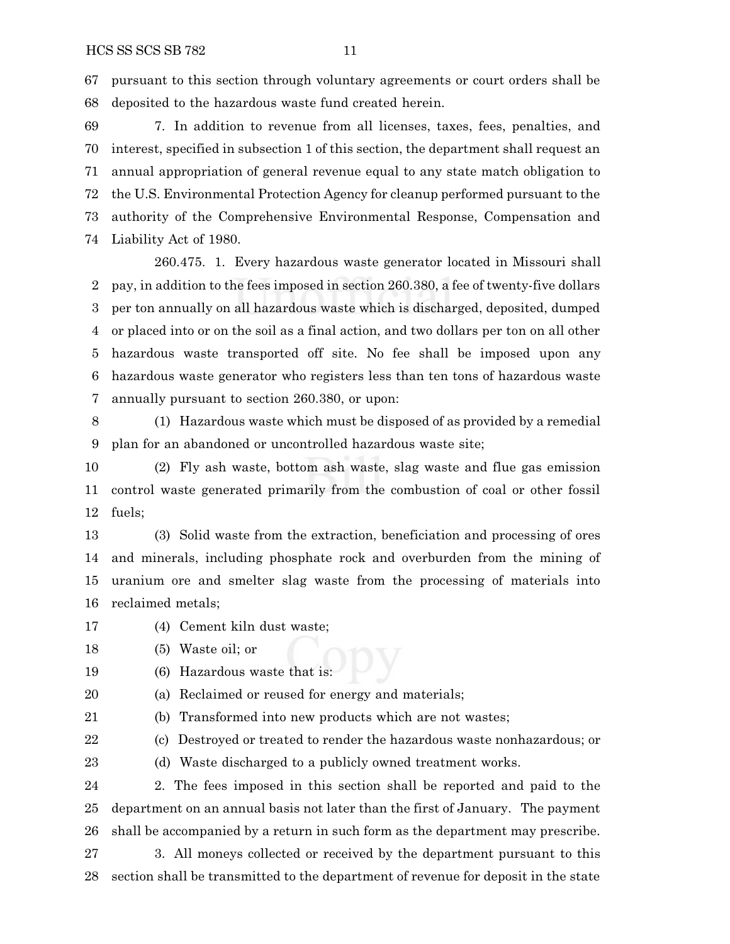pursuant to this section through voluntary agreements or court orders shall be deposited to the hazardous waste fund created herein.

 7. In addition to revenue from all licenses, taxes, fees, penalties, and interest, specified in subsection 1 of this section, the department shall request an annual appropriation of general revenue equal to any state match obligation to the U.S. Environmental Protection Agency for cleanup performed pursuant to the authority of the Comprehensive Environmental Response, Compensation and Liability Act of 1980.

260.475. 1. Every hazardous waste generator located in Missouri shall pay, in addition to the fees imposed in section 260.380, a fee of twenty-five dollars per ton annually on all hazardous waste which is discharged, deposited, dumped or placed into or on the soil as a final action, and two dollars per ton on all other hazardous waste transported off site. No fee shall be imposed upon any hazardous waste generator who registers less than ten tons of hazardous waste annually pursuant to section 260.380, or upon:

 (1) Hazardous waste which must be disposed of as provided by a remedial plan for an abandoned or uncontrolled hazardous waste site;

 (2) Fly ash waste, bottom ash waste, slag waste and flue gas emission control waste generated primarily from the combustion of coal or other fossil fuels;

 (3) Solid waste from the extraction, beneficiation and processing of ores and minerals, including phosphate rock and overburden from the mining of uranium ore and smelter slag waste from the processing of materials into reclaimed metals;

- (4) Cement kiln dust waste;
- (5) Waste oil; or
- 

19 (6) Hazardous waste that is:

- (a) Reclaimed or reused for energy and materials;
- (b) Transformed into new products which are not wastes;

22 (c) Destroyed or treated to render the hazardous waste nonhazardous; or

(d) Waste discharged to a publicly owned treatment works.

 2. The fees imposed in this section shall be reported and paid to the department on an annual basis not later than the first of January. The payment shall be accompanied by a return in such form as the department may prescribe.

 3. All moneys collected or received by the department pursuant to this section shall be transmitted to the department of revenue for deposit in the state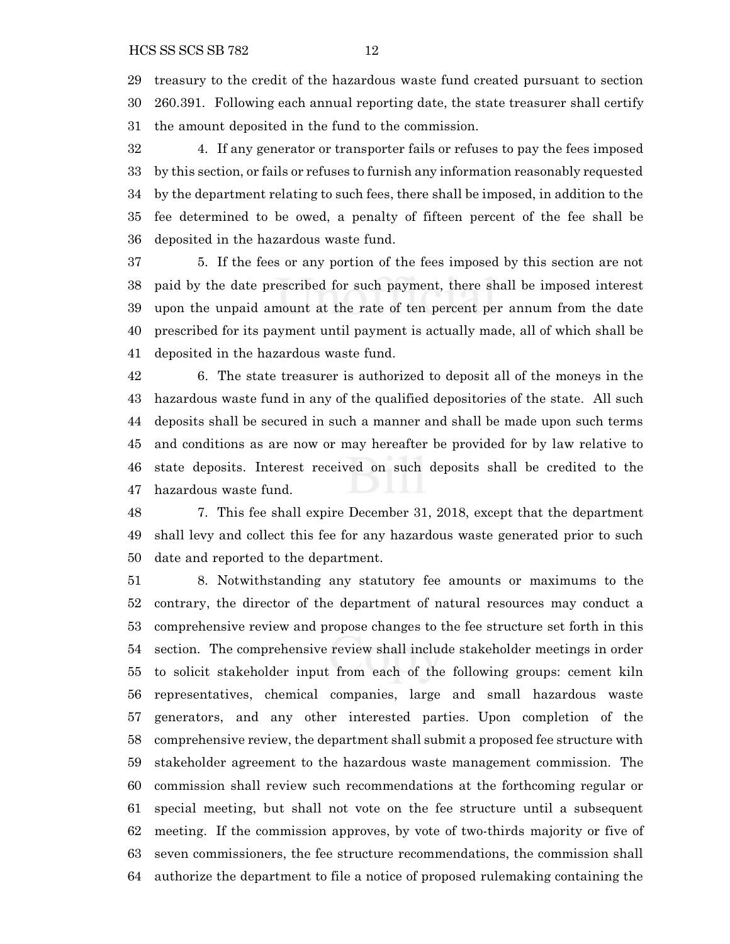treasury to the credit of the hazardous waste fund created pursuant to section 260.391. Following each annual reporting date, the state treasurer shall certify the amount deposited in the fund to the commission.

 4. If any generator or transporter fails or refuses to pay the fees imposed by this section, or fails or refuses to furnish any information reasonably requested by the department relating to such fees, there shall be imposed, in addition to the fee determined to be owed, a penalty of fifteen percent of the fee shall be deposited in the hazardous waste fund.

 5. If the fees or any portion of the fees imposed by this section are not paid by the date prescribed for such payment, there shall be imposed interest upon the unpaid amount at the rate of ten percent per annum from the date prescribed for its payment until payment is actually made, all of which shall be deposited in the hazardous waste fund.

 6. The state treasurer is authorized to deposit all of the moneys in the hazardous waste fund in any of the qualified depositories of the state. All such deposits shall be secured in such a manner and shall be made upon such terms and conditions as are now or may hereafter be provided for by law relative to state deposits. Interest received on such deposits shall be credited to the hazardous waste fund.

 7. This fee shall expire December 31, 2018, except that the department shall levy and collect this fee for any hazardous waste generated prior to such date and reported to the department.

 8. Notwithstanding any statutory fee amounts or maximums to the contrary, the director of the department of natural resources may conduct a comprehensive review and propose changes to the fee structure set forth in this section. The comprehensive review shall include stakeholder meetings in order to solicit stakeholder input from each of the following groups: cement kiln representatives, chemical companies, large and small hazardous waste generators, and any other interested parties. Upon completion of the comprehensive review, the department shall submit a proposed fee structure with stakeholder agreement to the hazardous waste management commission. The commission shall review such recommendations at the forthcoming regular or special meeting, but shall not vote on the fee structure until a subsequent meeting. If the commission approves, by vote of two-thirds majority or five of seven commissioners, the fee structure recommendations, the commission shall authorize the department to file a notice of proposed rulemaking containing the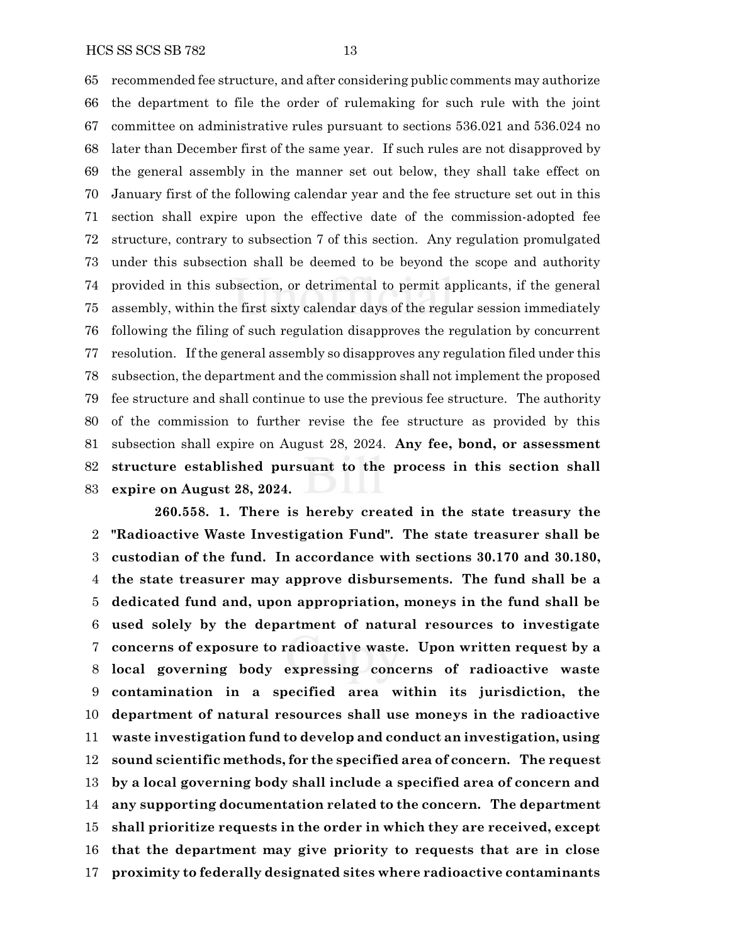recommended fee structure, and after considering public comments may authorize the department to file the order of rulemaking for such rule with the joint committee on administrative rules pursuant to sections 536.021 and 536.024 no later than December first of the same year. If such rules are not disapproved by the general assembly in the manner set out below, they shall take effect on January first of the following calendar year and the fee structure set out in this section shall expire upon the effective date of the commission-adopted fee structure, contrary to subsection 7 of this section. Any regulation promulgated under this subsection shall be deemed to be beyond the scope and authority provided in this subsection, or detrimental to permit applicants, if the general assembly, within the first sixty calendar days of the regular session immediately following the filing of such regulation disapproves the regulation by concurrent resolution. If the general assembly so disapproves any regulation filed under this subsection, the department and the commission shall not implement the proposed fee structure and shall continue to use the previous fee structure. The authority of the commission to further revise the fee structure as provided by this subsection shall expire on August 28, 2024. **Any fee, bond, or assessment structure established pursuant to the process in this section shall expire on August 28, 2024.**

**260.558. 1. There is hereby created in the state treasury the "Radioactive Waste Investigation Fund". The state treasurer shall be custodian of the fund. In accordance with sections 30.170 and 30.180, the state treasurer may approve disbursements. The fund shall be a dedicated fund and, upon appropriation, moneys in the fund shall be used solely by the department of natural resources to investigate concerns of exposure to radioactive waste. Upon written request by a local governing body expressing concerns of radioactive waste contamination in a specified area within its jurisdiction, the department of natural resources shall use moneys in the radioactive waste investigation fund to develop and conduct an investigation, using sound scientific methods, for the specified area of concern. The request by a local governing body shall include a specified area of concern and any supporting documentation related to the concern. The department shall prioritize requests in the order in which they are received, except that the department may give priority to requests that are in close proximity to federally designated sites where radioactive contaminants**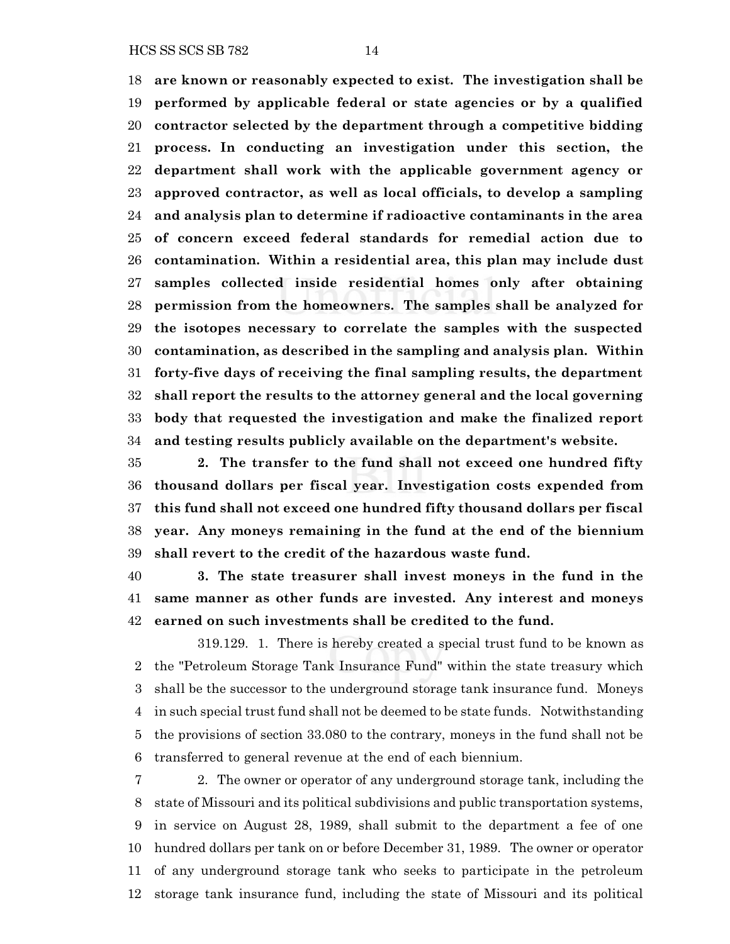HCS SS SCS SB 782 14

 **are known or reasonably expected to exist. The investigation shall be performed by applicable federal or state agencies or by a qualified contractor selected by the department through a competitive bidding process. In conducting an investigation under this section, the department shall work with the applicable government agency or approved contractor, as well as local officials, to develop a sampling and analysis plan to determine if radioactive contaminants in the area of concern exceed federal standards for remedial action due to contamination. Within a residential area, this plan may include dust samples collected inside residential homes only after obtaining permission from the homeowners. The samples shall be analyzed for the isotopes necessary to correlate the samples with the suspected contamination, as described in the sampling and analysis plan. Within forty-five days of receiving the final sampling results, the department shall report the results to the attorney general and the local governing body that requested the investigation and make the finalized report and testing results publicly available on the department's website.**

 **2. The transfer to the fund shall not exceed one hundred fifty thousand dollars per fiscal year. Investigation costs expended from this fund shall not exceed one hundred fifty thousand dollars per fiscal year. Any moneys remaining in the fund at the end of the biennium shall revert to the credit of the hazardous waste fund.**

 **3. The state treasurer shall invest moneys in the fund in the same manner as other funds are invested. Any interest and moneys earned on such investments shall be credited to the fund.**

319.129. 1. There is hereby created a special trust fund to be known as the "Petroleum Storage Tank Insurance Fund" within the state treasury which shall be the successor to the underground storage tank insurance fund. Moneys in such special trust fund shall not be deemed to be state funds. Notwithstanding the provisions of section 33.080 to the contrary, moneys in the fund shall not be transferred to general revenue at the end of each biennium.

 2. The owner or operator of any underground storage tank, including the state of Missouri and its political subdivisions and public transportation systems, in service on August 28, 1989, shall submit to the department a fee of one hundred dollars per tank on or before December 31, 1989. The owner or operator of any underground storage tank who seeks to participate in the petroleum storage tank insurance fund, including the state of Missouri and its political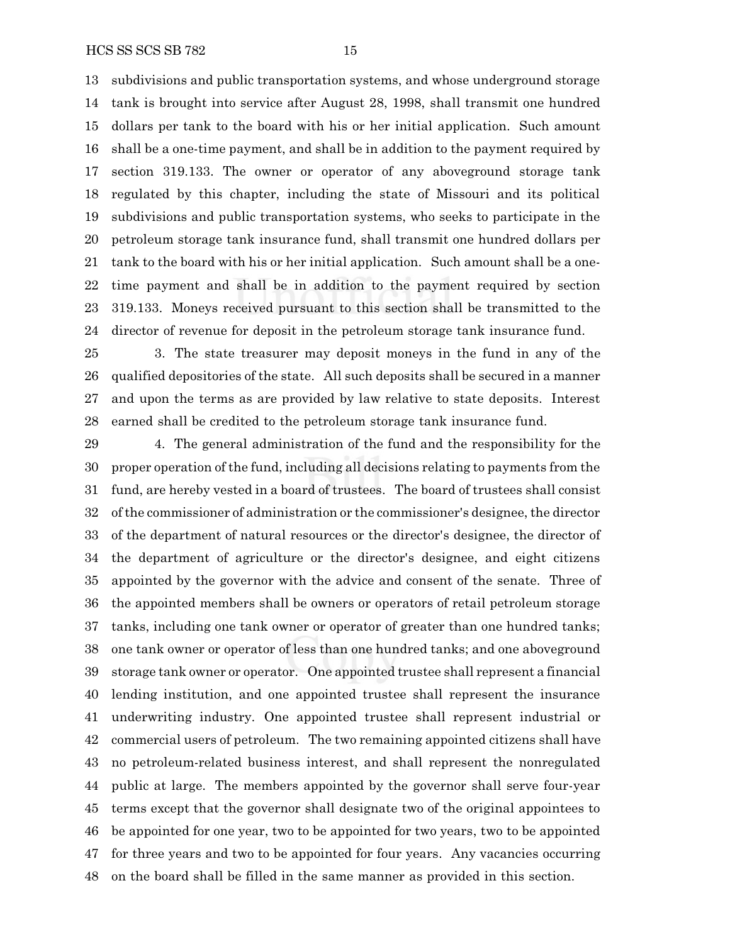subdivisions and public transportation systems, and whose underground storage tank is brought into service after August 28, 1998, shall transmit one hundred dollars per tank to the board with his or her initial application. Such amount shall be a one-time payment, and shall be in addition to the payment required by section 319.133. The owner or operator of any aboveground storage tank regulated by this chapter, including the state of Missouri and its political subdivisions and public transportation systems, who seeks to participate in the petroleum storage tank insurance fund, shall transmit one hundred dollars per tank to the board with his or her initial application. Such amount shall be a one- time payment and shall be in addition to the payment required by section 319.133. Moneys received pursuant to this section shall be transmitted to the director of revenue for deposit in the petroleum storage tank insurance fund.

 3. The state treasurer may deposit moneys in the fund in any of the qualified depositories of the state. All such deposits shall be secured in a manner and upon the terms as are provided by law relative to state deposits. Interest earned shall be credited to the petroleum storage tank insurance fund.

 4. The general administration of the fund and the responsibility for the proper operation of the fund, including all decisions relating to payments from the fund, are hereby vested in a board of trustees. The board of trustees shall consist ofthe commissioner of administration or the commissioner's designee, the director of the department of natural resources or the director's designee, the director of the department of agriculture or the director's designee, and eight citizens appointed by the governor with the advice and consent of the senate. Three of the appointed members shall be owners or operators of retail petroleum storage tanks, including one tank owner or operator of greater than one hundred tanks; one tank owner or operator of less than one hundred tanks; and one aboveground storage tank owner or operator. One appointed trustee shall represent a financial lending institution, and one appointed trustee shall represent the insurance underwriting industry. One appointed trustee shall represent industrial or commercial users of petroleum. The two remaining appointed citizens shall have no petroleum-related business interest, and shall represent the nonregulated public at large. The members appointed by the governor shall serve four-year terms except that the governor shall designate two of the original appointees to be appointed for one year, two to be appointed for two years, two to be appointed for three years and two to be appointed for four years. Any vacancies occurring on the board shall be filled in the same manner as provided in this section.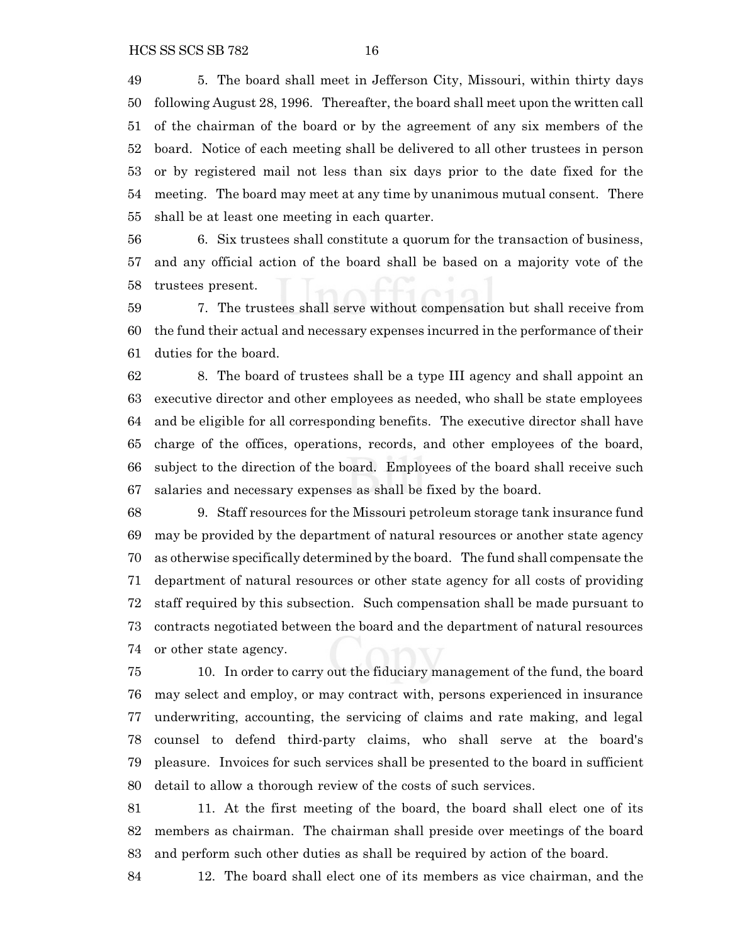5. The board shall meet in Jefferson City, Missouri, within thirty days following August 28, 1996. Thereafter, the board shall meet upon the written call of the chairman of the board or by the agreement of any six members of the board. Notice of each meeting shall be delivered to all other trustees in person or by registered mail not less than six days prior to the date fixed for the meeting. The board may meet at any time by unanimous mutual consent. There shall be at least one meeting in each quarter.

 6. Six trustees shall constitute a quorum for the transaction of business, and any official action of the board shall be based on a majority vote of the trustees present.

 7. The trustees shall serve without compensation but shall receive from the fund their actual and necessary expenses incurred in the performance of their duties for the board.

 8. The board of trustees shall be a type III agency and shall appoint an executive director and other employees as needed, who shall be state employees and be eligible for all corresponding benefits. The executive director shall have charge of the offices, operations, records, and other employees of the board, subject to the direction of the board. Employees of the board shall receive such salaries and necessary expenses as shall be fixed by the board.

 9. Staff resources for the Missouri petroleum storage tank insurance fund may be provided by the department of natural resources or another state agency as otherwise specifically determined by the board. The fund shall compensate the department of natural resources or other state agency for all costs of providing staff required by this subsection. Such compensation shall be made pursuant to contracts negotiated between the board and the department of natural resources or other state agency.

 10. In order to carry out the fiduciary management of the fund, the board may select and employ, or may contract with, persons experienced in insurance underwriting, accounting, the servicing of claims and rate making, and legal counsel to defend third-party claims, who shall serve at the board's pleasure. Invoices for such services shall be presented to the board in sufficient detail to allow a thorough review of the costs of such services.

 11. At the first meeting of the board, the board shall elect one of its members as chairman. The chairman shall preside over meetings of the board and perform such other duties as shall be required by action of the board.

12. The board shall elect one of its members as vice chairman, and the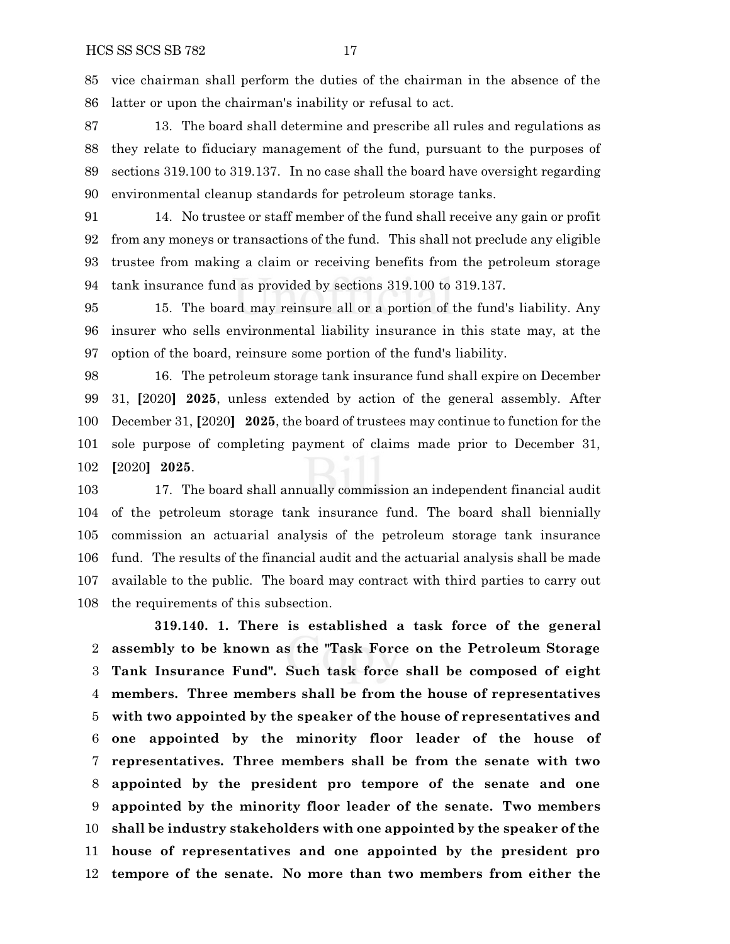vice chairman shall perform the duties of the chairman in the absence of the latter or upon the chairman's inability or refusal to act.

 13. The board shall determine and prescribe all rules and regulations as they relate to fiduciary management of the fund, pursuant to the purposes of sections 319.100 to 319.137. In no case shall the board have oversight regarding environmental cleanup standards for petroleum storage tanks.

 14. No trustee or staff member of the fund shall receive any gain or profit from any moneys or transactions of the fund. This shall not preclude any eligible trustee from making a claim or receiving benefits from the petroleum storage tank insurance fund as provided by sections 319.100 to 319.137.

 15. The board may reinsure all or a portion of the fund's liability. Any insurer who sells environmental liability insurance in this state may, at the option of the board, reinsure some portion of the fund's liability.

 16. The petroleum storage tank insurance fund shall expire on December 31, **[**2020**] 2025**, unless extended by action of the general assembly. After December 31, **[**2020**] 2025**, the board of trustees may continue to function for the sole purpose of completing payment of claims made prior to December 31, **[**2020**] 2025**.

 17. The board shall annually commission an independent financial audit of the petroleum storage tank insurance fund. The board shall biennially commission an actuarial analysis of the petroleum storage tank insurance fund. The results of the financial audit and the actuarial analysis shall be made available to the public. The board may contract with third parties to carry out the requirements of this subsection.

**319.140. 1. There is established a task force of the general assembly to be known as the "Task Force on the Petroleum Storage Tank Insurance Fund". Such task force shall be composed of eight members. Three members shall be from the house of representatives with two appointed by the speaker of the house of representatives and one appointed by the minority floor leader of the house of representatives. Three members shall be from the senate with two appointed by the president pro tempore of the senate and one appointed by the minority floor leader of the senate. Two members shall be industry stakeholders with one appointed by the speaker of the house of representatives and one appointed by the president pro tempore of the senate. No more than two members from either the**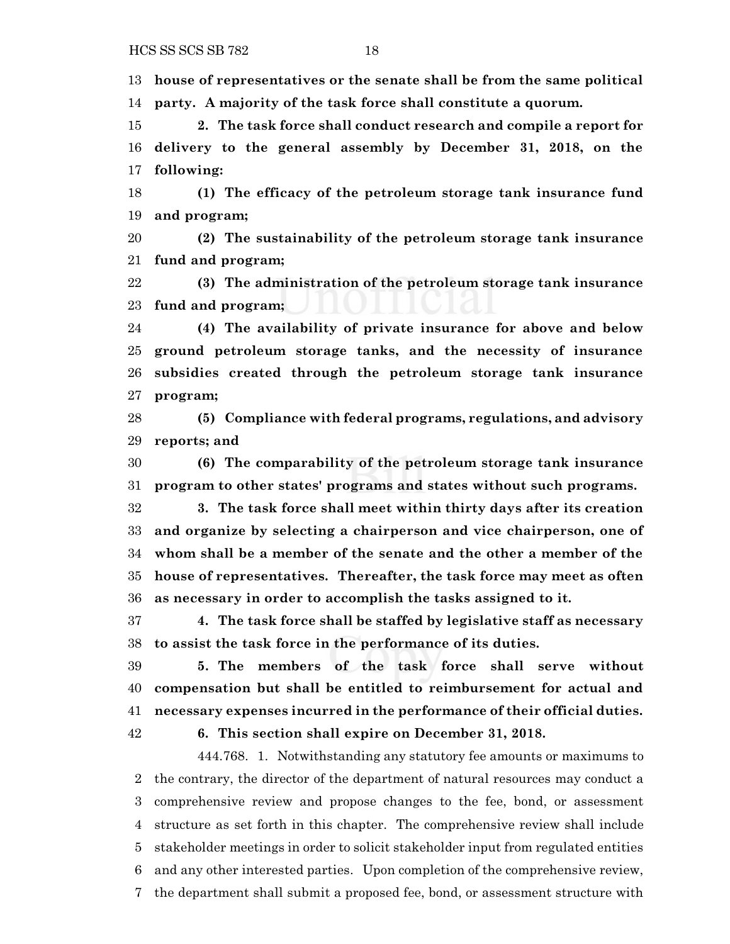**house of representatives or the senate shall be from the same political party. A majority of the task force shall constitute a quorum.**

 **2. The task force shall conduct research and compile a report for delivery to the general assembly by December 31, 2018, on the following:**

 **(1) The efficacy of the petroleum storage tank insurance fund and program;**

 **(2) The sustainability of the petroleum storage tank insurance fund and program;**

 **(3) The administration of the petroleum storage tank insurance fund and program;**

 **(4) The availability of private insurance for above and below ground petroleum storage tanks, and the necessity of insurance subsidies created through the petroleum storage tank insurance program;**

 **(5) Compliance with federal programs, regulations, and advisory reports; and**

 **(6) The comparability of the petroleum storage tank insurance program to other states' programs and states without such programs.**

 **3. The task force shall meet within thirty days after its creation and organize by selecting a chairperson and vice chairperson, one of whom shall be a member of the senate and the other a member of the house of representatives. Thereafter, the task force may meet as often as necessary in order to accomplish the tasks assigned to it.**

 **4. The task force shall be staffed by legislative staff as necessary to assist the task force in the performance of its duties.**

 **5. The members of the task force shall serve without compensation but shall be entitled to reimbursement for actual and necessary expenses incurred in the performance of their official duties.**

**6. This section shall expire on December 31, 2018.**

444.768. 1. Notwithstanding any statutory fee amounts or maximums to the contrary, the director of the department of natural resources may conduct a comprehensive review and propose changes to the fee, bond, or assessment structure as set forth in this chapter. The comprehensive review shall include stakeholder meetings in order to solicit stakeholder input from regulated entities and any other interested parties. Upon completion of the comprehensive review, the department shall submit a proposed fee, bond, or assessment structure with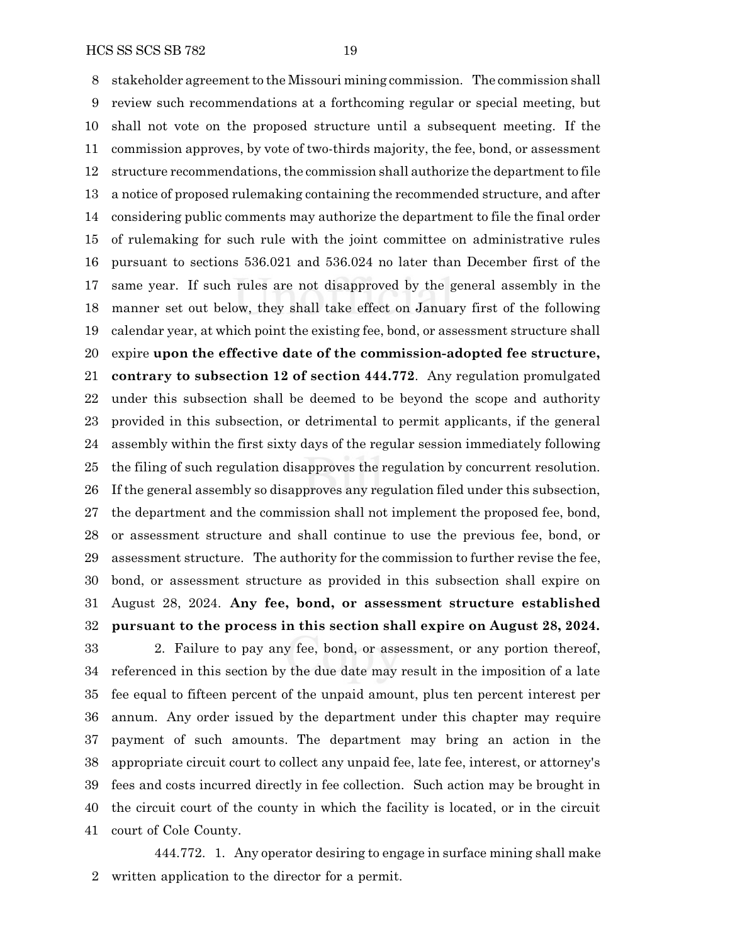stakeholder agreement to the Missouri mining commission. The commission shall review such recommendations at a forthcoming regular or special meeting, but shall not vote on the proposed structure until a subsequent meeting. If the commission approves, by vote of two-thirds majority, the fee, bond, or assessment 12 structure recommendations, the commission shall authorize the department to file a notice of proposed rulemaking containing the recommended structure, and after considering public comments may authorize the department to file the final order of rulemaking for such rule with the joint committee on administrative rules pursuant to sections 536.021 and 536.024 no later than December first of the same year. If such rules are not disapproved by the general assembly in the manner set out below, they shall take effect on January first of the following calendar year, at which point the existing fee, bond, or assessment structure shall expire **upon the effective date of the commission-adopted fee structure, contrary to subsection 12 of section 444.772**. Any regulation promulgated under this subsection shall be deemed to be beyond the scope and authority provided in this subsection, or detrimental to permit applicants, if the general assembly within the first sixty days of the regular session immediately following the filing of such regulation disapproves the regulation by concurrent resolution. If the general assembly so disapproves any regulation filed under this subsection, the department and the commission shall not implement the proposed fee, bond, or assessment structure and shall continue to use the previous fee, bond, or assessment structure. The authority for the commission to further revise the fee, bond, or assessment structure as provided in this subsection shall expire on August 28, 2024. **Any fee, bond, or assessment structure established**

## **pursuant to the process in this section shall expire on August 28, 2024.**

 2. Failure to pay any fee, bond, or assessment, or any portion thereof, referenced in this section by the due date may result in the imposition of a late fee equal to fifteen percent of the unpaid amount, plus ten percent interest per annum. Any order issued by the department under this chapter may require payment of such amounts. The department may bring an action in the appropriate circuit court to collect any unpaid fee, late fee, interest, or attorney's fees and costs incurred directly in fee collection. Such action may be brought in the circuit court of the county in which the facility is located, or in the circuit court of Cole County.

444.772. 1. Any operator desiring to engage in surface mining shall make written application to the director for a permit.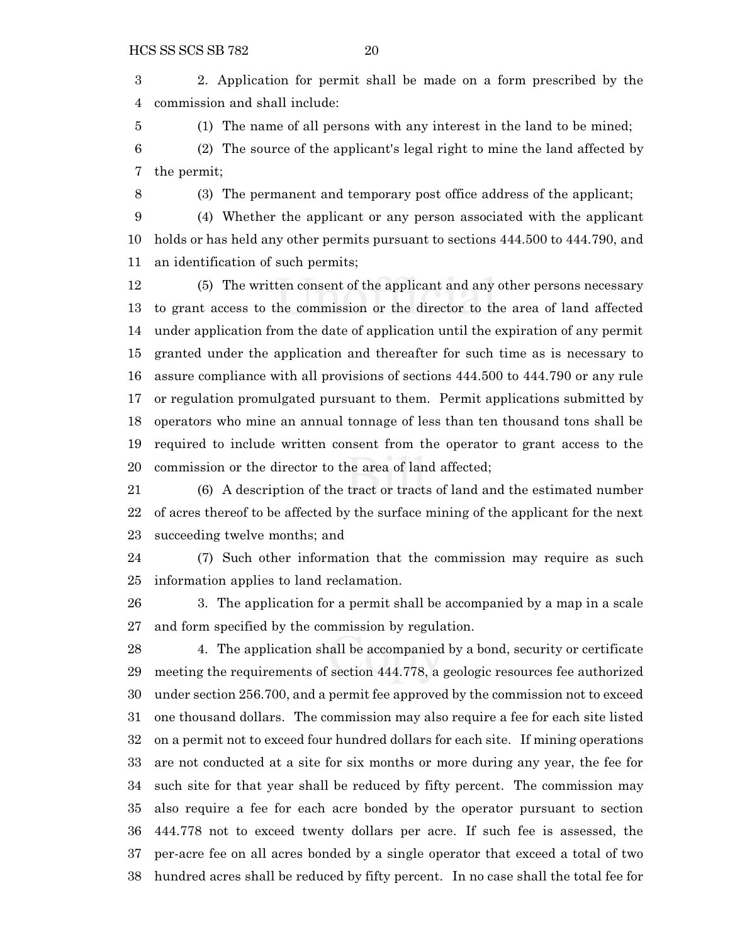2. Application for permit shall be made on a form prescribed by the commission and shall include:

(1) The name of all persons with any interest in the land to be mined;

 (2) The source of the applicant's legal right to mine the land affected by the permit;

(3) The permanent and temporary post office address of the applicant;

 (4) Whether the applicant or any person associated with the applicant holds or has held any other permits pursuant to sections 444.500 to 444.790, and an identification of such permits;

 (5) The written consent of the applicant and any other persons necessary to grant access to the commission or the director to the area of land affected under application from the date of application until the expiration of any permit granted under the application and thereafter for such time as is necessary to assure compliance with all provisions of sections 444.500 to 444.790 or any rule or regulation promulgated pursuant to them. Permit applications submitted by operators who mine an annual tonnage of less than ten thousand tons shall be required to include written consent from the operator to grant access to the commission or the director to the area of land affected;

 (6) A description of the tract or tracts of land and the estimated number of acres thereof to be affected by the surface mining of the applicant for the next succeeding twelve months; and

 (7) Such other information that the commission may require as such information applies to land reclamation.

 3. The application for a permit shall be accompanied by a map in a scale and form specified by the commission by regulation.

 4. The application shall be accompanied by a bond, security or certificate meeting the requirements of section 444.778, a geologic resources fee authorized under section 256.700, and a permit fee approved by the commission not to exceed one thousand dollars. The commission may also require a fee for each site listed on a permit not to exceed four hundred dollars for each site. If mining operations are not conducted at a site for six months or more during any year, the fee for such site for that year shall be reduced by fifty percent. The commission may also require a fee for each acre bonded by the operator pursuant to section 444.778 not to exceed twenty dollars per acre. If such fee is assessed, the per-acre fee on all acres bonded by a single operator that exceed a total of two hundred acres shall be reduced by fifty percent. In no case shall the total fee for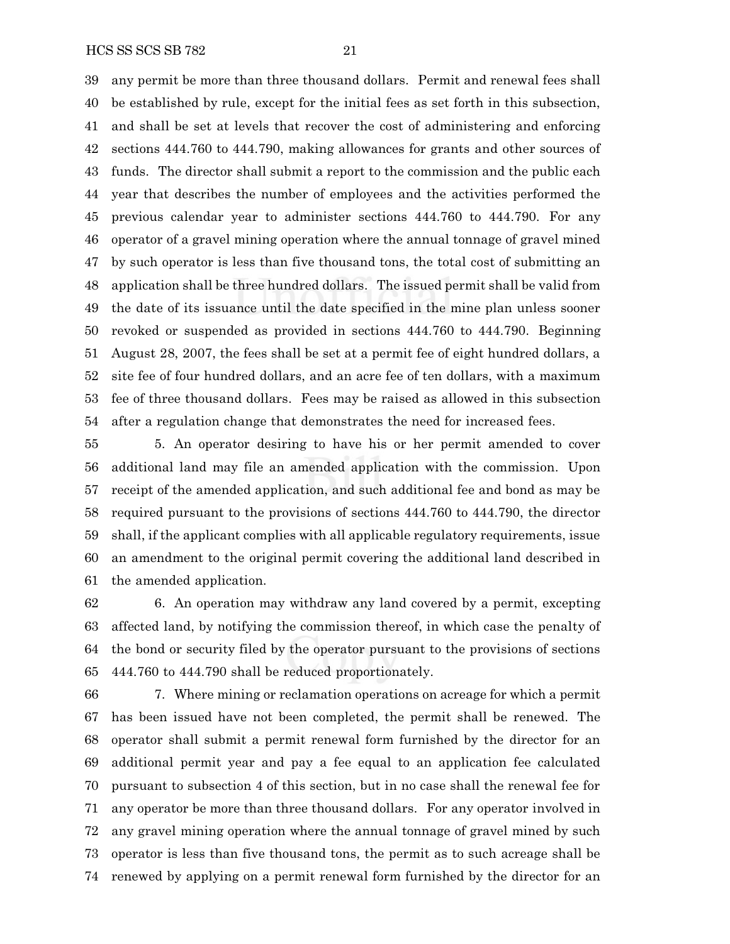any permit be more than three thousand dollars. Permit and renewal fees shall be established by rule, except for the initial fees as set forth in this subsection, and shall be set at levels that recover the cost of administering and enforcing sections 444.760 to 444.790, making allowances for grants and other sources of funds. The director shall submit a report to the commission and the public each year that describes the number of employees and the activities performed the previous calendar year to administer sections 444.760 to 444.790. For any operator of a gravel mining operation where the annual tonnage of gravel mined by such operator is less than five thousand tons, the total cost of submitting an application shall be three hundred dollars. The issued permit shall be valid from the date of its issuance until the date specified in the mine plan unless sooner revoked or suspended as provided in sections 444.760 to 444.790. Beginning August 28, 2007, the fees shall be set at a permit fee of eight hundred dollars, a site fee of four hundred dollars, and an acre fee of ten dollars, with a maximum fee of three thousand dollars. Fees may be raised as allowed in this subsection after a regulation change that demonstrates the need for increased fees.

 5. An operator desiring to have his or her permit amended to cover additional land may file an amended application with the commission. Upon receipt of the amended application, and such additional fee and bond as may be required pursuant to the provisions of sections 444.760 to 444.790, the director shall, if the applicant complies with all applicable regulatory requirements, issue an amendment to the original permit covering the additional land described in the amended application.

 6. An operation may withdraw any land covered by a permit, excepting affected land, by notifying the commission thereof, in which case the penalty of the bond or security filed by the operator pursuant to the provisions of sections 444.760 to 444.790 shall be reduced proportionately.

 7. Where mining or reclamation operations on acreage for which a permit has been issued have not been completed, the permit shall be renewed. The operator shall submit a permit renewal form furnished by the director for an additional permit year and pay a fee equal to an application fee calculated pursuant to subsection 4 of this section, but in no case shall the renewal fee for any operator be more than three thousand dollars. For any operator involved in any gravel mining operation where the annual tonnage of gravel mined by such operator is less than five thousand tons, the permit as to such acreage shall be renewed by applying on a permit renewal form furnished by the director for an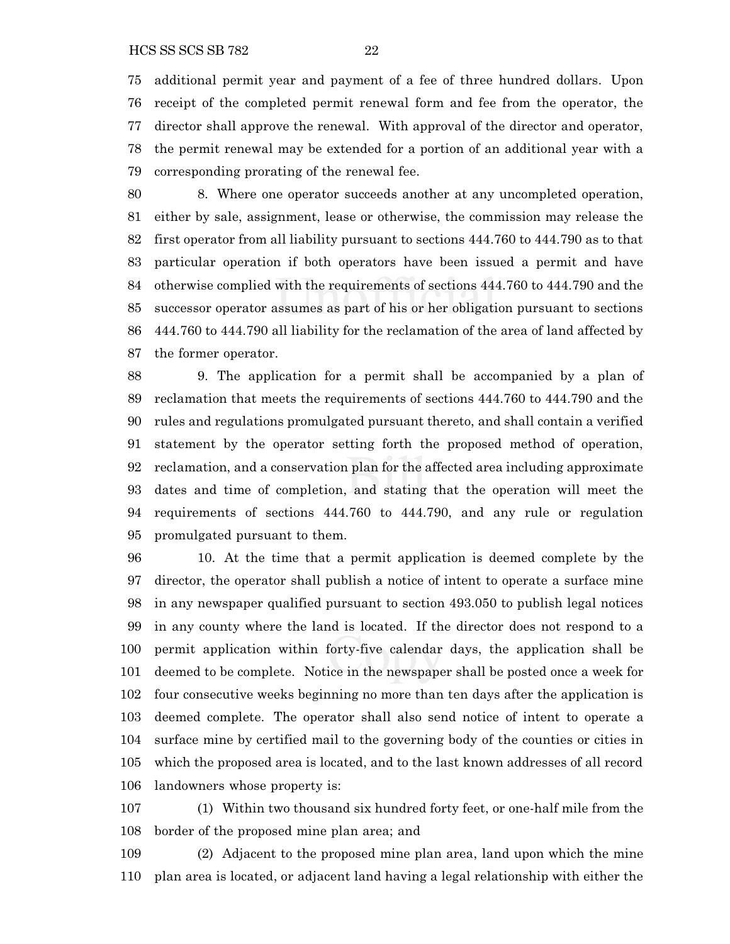additional permit year and payment of a fee of three hundred dollars. Upon receipt of the completed permit renewal form and fee from the operator, the director shall approve the renewal. With approval of the director and operator, the permit renewal may be extended for a portion of an additional year with a corresponding prorating of the renewal fee.

 8. Where one operator succeeds another at any uncompleted operation, either by sale, assignment, lease or otherwise, the commission may release the first operator from all liability pursuant to sections 444.760 to 444.790 as to that particular operation if both operators have been issued a permit and have otherwise complied with the requirements of sections 444.760 to 444.790 and the successor operator assumes as part of his or her obligation pursuant to sections 444.760 to 444.790 all liability for the reclamation of the area of land affected by the former operator.

 9. The application for a permit shall be accompanied by a plan of reclamation that meets the requirements of sections 444.760 to 444.790 and the rules and regulations promulgated pursuant thereto, and shall contain a verified statement by the operator setting forth the proposed method of operation, reclamation, and a conservation plan for the affected area including approximate dates and time of completion, and stating that the operation will meet the requirements of sections 444.760 to 444.790, and any rule or regulation promulgated pursuant to them.

 10. At the time that a permit application is deemed complete by the director, the operator shall publish a notice of intent to operate a surface mine in any newspaper qualified pursuant to section 493.050 to publish legal notices in any county where the land is located. If the director does not respond to a permit application within forty-five calendar days, the application shall be deemed to be complete. Notice in the newspaper shall be posted once a week for four consecutive weeks beginning no more than ten days after the application is deemed complete. The operator shall also send notice of intent to operate a surface mine by certified mail to the governing body of the counties or cities in which the proposed area is located, and to the last known addresses of all record landowners whose property is:

 (1) Within two thousand six hundred forty feet, or one-half mile from the border of the proposed mine plan area; and

 (2) Adjacent to the proposed mine plan area, land upon which the mine plan area is located, or adjacent land having a legal relationship with either the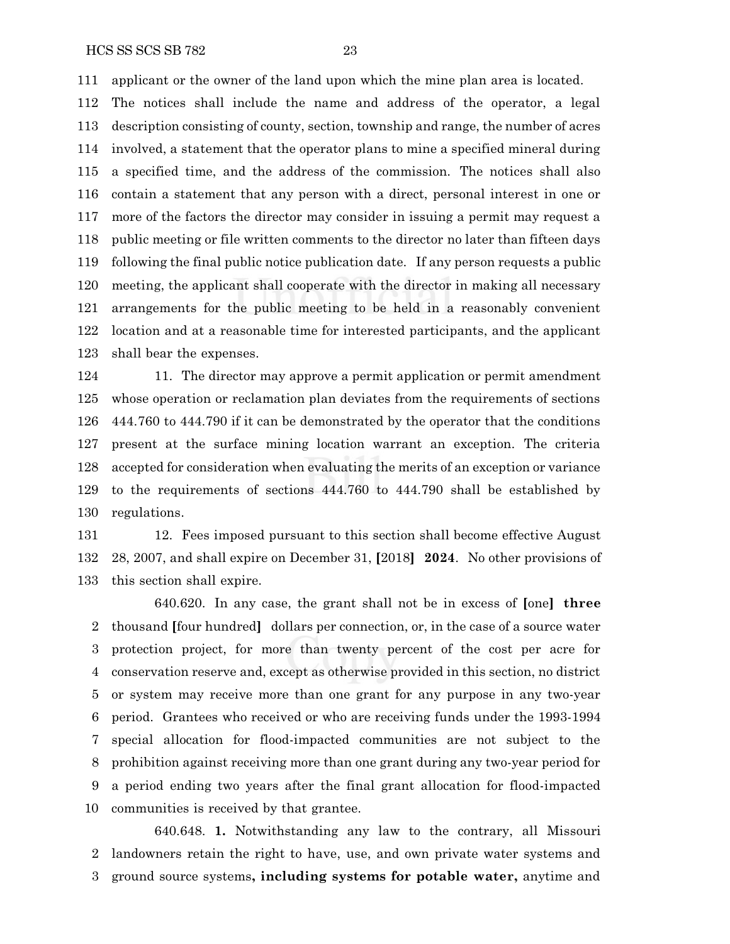applicant or the owner of the land upon which the mine plan area is located.

 The notices shall include the name and address of the operator, a legal description consisting of county, section, township and range, the number of acres involved, a statement that the operator plans to mine a specified mineral during a specified time, and the address of the commission. The notices shall also contain a statement that any person with a direct, personal interest in one or more of the factors the director may consider in issuing a permit may request a public meeting or file written comments to the director no later than fifteen days following the final public notice publication date. If any person requests a public meeting, the applicant shall cooperate with the director in making all necessary arrangements for the public meeting to be held in a reasonably convenient location and at a reasonable time for interested participants, and the applicant shall bear the expenses.

124 11. The director may approve a permit application or permit amendment whose operation or reclamation plan deviates from the requirements of sections 444.760 to 444.790 if it can be demonstrated by the operator that the conditions present at the surface mining location warrant an exception. The criteria accepted for consideration when evaluating the merits of an exception or variance to the requirements of sections 444.760 to 444.790 shall be established by regulations.

 12. Fees imposed pursuant to this section shall become effective August 28, 2007, and shall expire on December 31, **[**2018**] 2024**. No other provisions of this section shall expire.

640.620. In any case, the grant shall not be in excess of **[**one**] three** thousand **[**four hundred**]** dollars per connection, or, in the case of a source water protection project, for more than twenty percent of the cost per acre for conservation reserve and, except as otherwise provided in this section, no district or system may receive more than one grant for any purpose in any two-year period. Grantees who received or who are receiving funds under the 1993-1994 special allocation for flood-impacted communities are not subject to the prohibition against receiving more than one grant during any two-year period for a period ending two years after the final grant allocation for flood-impacted communities is received by that grantee.

640.648. **1.** Notwithstanding any law to the contrary, all Missouri landowners retain the right to have, use, and own private water systems and ground source systems**, including systems for potable water,** anytime and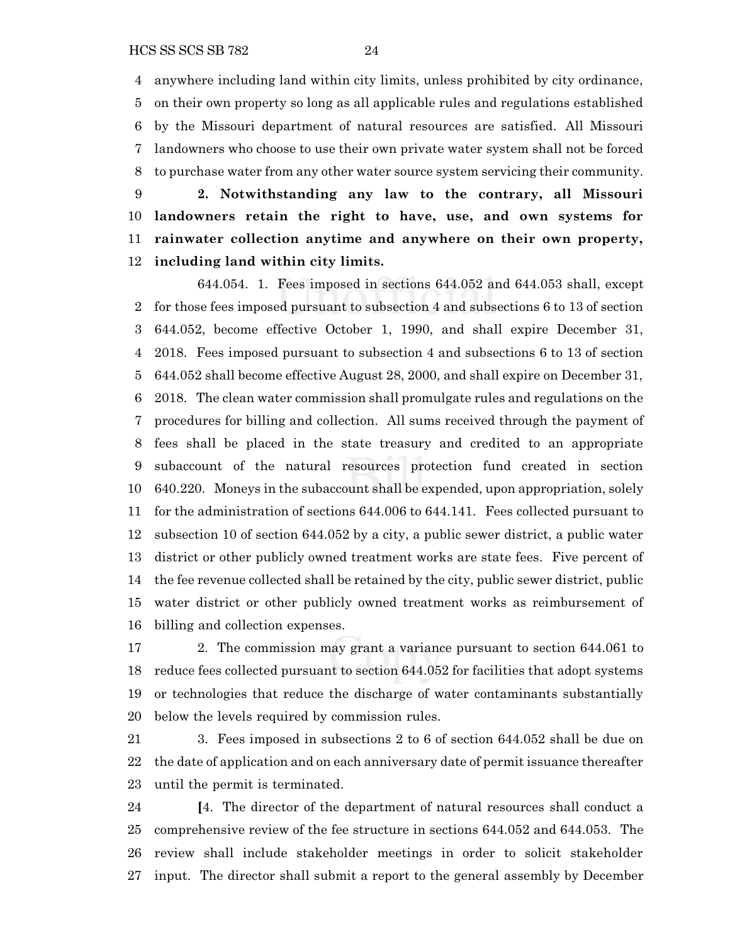anywhere including land within city limits, unless prohibited by city ordinance, on their own property so long as all applicable rules and regulations established by the Missouri department of natural resources are satisfied. All Missouri landowners who choose to use their own private water system shall not be forced to purchase water from any other water source system servicing their community.

 **2. Notwithstanding any law to the contrary, all Missouri landowners retain the right to have, use, and own systems for rainwater collection anytime and anywhere on their own property, including land within city limits.**

644.054. 1. Fees imposed in sections 644.052 and 644.053 shall, except for those fees imposed pursuant to subsection 4 and subsections 6 to 13 of section 644.052, become effective October 1, 1990, and shall expire December 31, 2018. Fees imposed pursuant to subsection 4 and subsections 6 to 13 of section 644.052 shall become effective August 28, 2000, and shall expire on December 31, 2018. The clean water commission shall promulgate rules and regulations on the procedures for billing and collection. All sums received through the payment of fees shall be placed in the state treasury and credited to an appropriate subaccount of the natural resources protection fund created in section 640.220. Moneys in the subaccount shall be expended, upon appropriation, solely for the administration of sections 644.006 to 644.141. Fees collected pursuant to subsection 10 of section 644.052 by a city, a public sewer district, a public water district or other publicly owned treatment works are state fees. Five percent of the fee revenue collected shall be retained by the city, public sewer district, public water district or other publicly owned treatment works as reimbursement of billing and collection expenses.

 2. The commission may grant a variance pursuant to section 644.061 to reduce fees collected pursuant to section 644.052 for facilities that adopt systems or technologies that reduce the discharge of water contaminants substantially below the levels required by commission rules.

 3. Fees imposed in subsections 2 to 6 of section 644.052 shall be due on the date of application and on each anniversary date of permit issuance thereafter until the permit is terminated.

 **[**4. The director of the department of natural resources shall conduct a comprehensive review of the fee structure in sections 644.052 and 644.053. The review shall include stakeholder meetings in order to solicit stakeholder input. The director shall submit a report to the general assembly by December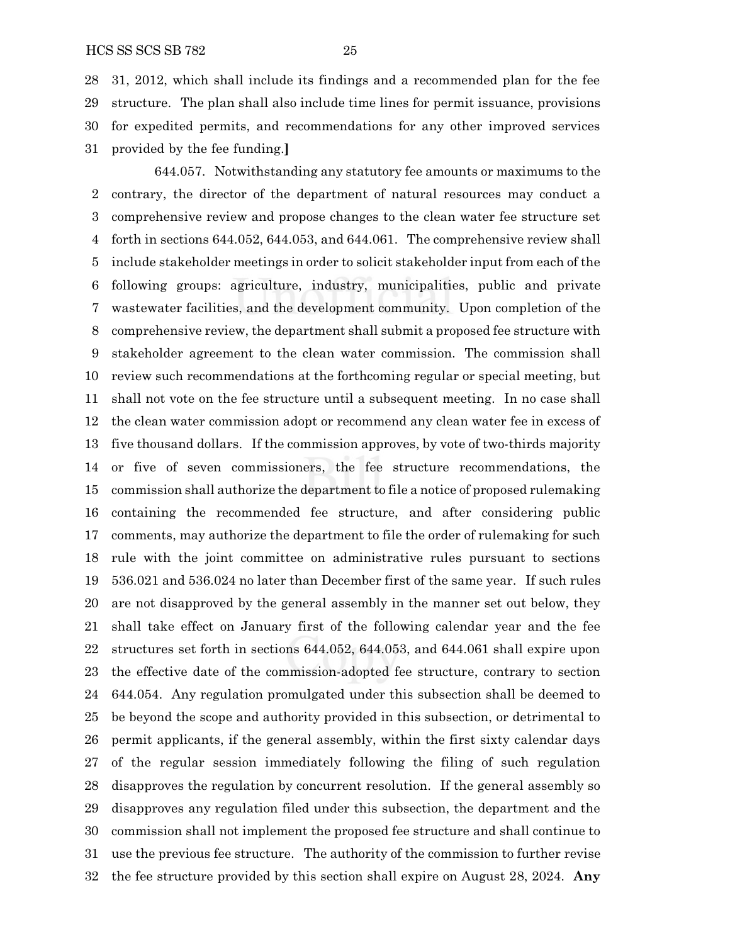31, 2012, which shall include its findings and a recommended plan for the fee structure. The plan shall also include time lines for permit issuance, provisions for expedited permits, and recommendations for any other improved services provided by the fee funding.**]**

644.057. Notwithstanding any statutory fee amounts or maximums to the contrary, the director of the department of natural resources may conduct a comprehensive review and propose changes to the clean water fee structure set forth in sections 644.052, 644.053, and 644.061. The comprehensive review shall include stakeholder meetings in order to solicit stakeholder input from each of the following groups: agriculture, industry, municipalities, public and private wastewater facilities, and the development community. Upon completion of the comprehensive review, the department shall submit a proposed fee structure with stakeholder agreement to the clean water commission. The commission shall review such recommendations at the forthcoming regular or special meeting, but shall not vote on the fee structure until a subsequent meeting. In no case shall the clean water commission adopt or recommend any clean water fee in excess of five thousand dollars. If the commission approves, by vote of two-thirds majority or five of seven commissioners, the fee structure recommendations, the commission shall authorize the department to file a notice of proposed rulemaking containing the recommended fee structure, and after considering public comments, may authorize the department to file the order of rulemaking for such rule with the joint committee on administrative rules pursuant to sections 536.021 and 536.024 no later than December first of the same year. If such rules are not disapproved by the general assembly in the manner set out below, they shall take effect on January first of the following calendar year and the fee structures set forth in sections 644.052, 644.053, and 644.061 shall expire upon the effective date of the commission-adopted fee structure, contrary to section 644.054. Any regulation promulgated under this subsection shall be deemed to be beyond the scope and authority provided in this subsection, or detrimental to permit applicants, if the general assembly, within the first sixty calendar days of the regular session immediately following the filing of such regulation disapproves the regulation by concurrent resolution. If the general assembly so disapproves any regulation filed under this subsection, the department and the commission shall not implement the proposed fee structure and shall continue to use the previous fee structure. The authority of the commission to further revise the fee structure provided by this section shall expire on August 28, 2024. **Any**